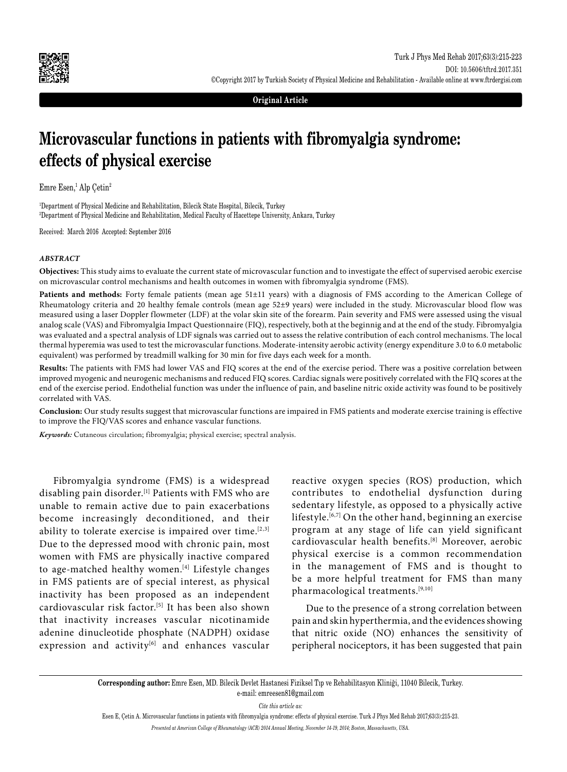

**Original Article**

# **Microvascular functions in patients with fibromyalgia syndrome: effects of physical exercise**

Emre Esen,<sup>1</sup> Alp Çetin<sup>2</sup>

1 Department of Physical Medicine and Rehabilitation, Bilecik State Hospital, Bilecik, Turkey 2 Department of Physical Medicine and Rehabilitation, Medical Faculty of Hacettepe University, Ankara, Turkey

Received: March 2016 Accepted: September 2016

## *ABSTRACT*

**Objectives:** This study aims to evaluate the current state of microvascular function and to investigate the effect of supervised aerobic exercise on microvascular control mechanisms and health outcomes in women with fibromyalgia syndrome (FMS).

**Patients and methods:** Forty female patients (mean age 51±11 years) with a diagnosis of FMS according to the American College of Rheumatology criteria and 20 healthy female controls (mean age 52±9 years) were included in the study. Microvascular blood flow was measured using a laser Doppler flowmeter (LDF) at the volar skin site of the forearm. Pain severity and FMS were assessed using the visual analog scale (VAS) and Fibromyalgia Impact Questionnaire (FIQ), respectively, both at the beginnig and at the end of the study. Fibromyalgia was evaluated and a spectral analysis of LDF signals was carried out to assess the relative contribution of each control mechanisms. The local thermal hyperemia was used to test the microvascular functions. Moderate-intensity aerobic activity (energy expenditure 3.0 to 6.0 metabolic equivalent) was performed by treadmill walking for 30 min for five days each week for a month.

**Results:** The patients with FMS had lower VAS and FIQ scores at the end of the exercise period. There was a positive correlation between improved myogenic and neurogenic mechanisms and reduced FIQ scores. Cardiac signals were positively correlated with the FIQ scores at the end of the exercise period. Endothelial function was under the influence of pain, and baseline nitric oxide activity was found to be positively correlated with VAS.

**Conclusion:** Our study results suggest that microvascular functions are impaired in FMS patients and moderate exercise training is effective to improve the FIQ/VAS scores and enhance vascular functions.

*Keywords:* Cutaneous circulation; fibromyalgia; physical exercise; spectral analysis.

Fibromyalgia syndrome (FMS) is a widespread disabling pain disorder.<sup>[1]</sup> Patients with FMS who are unable to remain active due to pain exacerbations become increasingly deconditioned, and their ability to tolerate exercise is impaired over time.<sup>[2,3]</sup> Due to the depressed mood with chronic pain, most women with FMS are physically inactive compared to age-matched healthy women.<sup>[4]</sup> Lifestyle changes in FMS patients are of special interest, as physical inactivity has been proposed as an independent cardiovascular risk factor.<sup>[5]</sup> It has been also shown that inactivity increases vascular nicotinamide adenine dinucleotide phosphate (NADPH) oxidase expression and activity<sup>[6]</sup> and enhances vascular

reactive oxygen species (ROS) production, which contributes to endothelial dysfunction during sedentary lifestyle, as opposed to a physically active lifestyle.<sup>[6,7]</sup> On the other hand, beginning an exercise program at any stage of life can yield significant cardiovascular health benefits.[8] Moreover, aerobic physical exercise is a common recommendation in the management of FMS and is thought to be a more helpful treatment for FMS than many pharmacological treatments.[9,10]

Due to the presence of a strong correlation between pain and skin hyperthermia, and the evidences showing that nitric oxide (NO) enhances the sensitivity of peripheral nociceptors, it has been suggested that pain

**Corresponding author:** Emre Esen, MD. Bilecik Devlet Hastanesi Fiziksel Tıp ve Rehabilitasyon Kliniği, 11040 Bilecik, Turkey. e-mail: emreesen81@gmail.com

*Cite this article as:*

Esen E, Çetin A. Microvascular functions in patients with fibromyalgia syndrome: effects of physical exercise. Turk J Phys Med Rehab 2017;63(3):215-23.

*Presented at American College of Rheumatology (ACR) 2014 Annual Meeting, November 14-19, 2014; Boston, Massachusetts, USA.*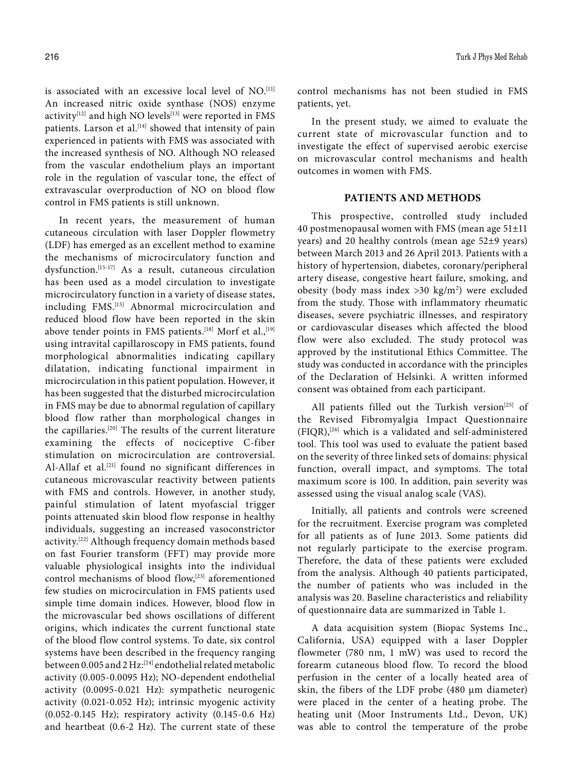is associated with an excessive local level of NO.<sup>[11]</sup> An increased nitric oxide synthase (NOS) enzyme activity[12] and high NO levels<sup>[13]</sup> were reported in FMS patients. Larson et al.<sup>[14]</sup> showed that intensity of pain experienced in patients with FMS was associated with the increased synthesis of NO. Although NO released from the vascular endothelium plays an important role in the regulation of vascular tone, the effect of extravascular overproduction of NO on blood flow control in FMS patients is still unknown.

In recent years, the measurement of human cutaneous circulation with laser Doppler flowmetry (LDF) has emerged as an excellent method to examine the mechanisms of microcirculatory function and dysfunction.[15-17] As a result, cutaneous circulation has been used as a model circulation to investigate microcirculatory function in a variety of disease states, including FMS.[15] Abnormal microcirculation and reduced blood flow have been reported in the skin above tender points in FMS patients.<sup>[18]</sup> Morf et al.,<sup>[19]</sup> using intravital capillaroscopy in FMS patients, found morphological abnormalities indicating capillary dilatation, indicating functional impairment in microcirculation in this patient population. However, it has been suggested that the disturbed microcirculation in FMS may be due to abnormal regulation of capillary blood flow rather than morphological changes in the capillaries.[20] The results of the current literature examining the effects of nociceptive C-fiber stimulation on microcirculation are controversial. Al-Allaf et al.<sup>[21]</sup> found no significant differences in cutaneous microvascular reactivity between patients with FMS and controls. However, in another study, painful stimulation of latent myofascial trigger points attenuated skin blood flow response in healthy individuals, suggesting an increased vasoconstrictor activity.[22] Although frequency domain methods based on fast Fourier transform (FFT) may provide more valuable physiological insights into the individual control mechanisms of blood flow,<sup>[23]</sup> aforementioned few studies on microcirculation in FMS patients used simple time domain indices. However, blood flow in the microvascular bed shows oscillations of different origins, which indicates the current functional state of the blood flow control systems. To date, six control systems have been described in the frequency ranging between 0.005 and 2 Hz:[24] endothelial related metabolic activity (0.005-0.0095 Hz); NO-dependent endothelial activity (0.0095-0.021 Hz): sympathetic neurogenic activity (0.021-0.052 Hz); intrinsic myogenic activity (0.052-0.145 Hz); respiratory activity (0.145-0.6 Hz) and heartbeat (0.6-2 Hz). The current state of these

control mechanisms has not been studied in FMS patients, yet.

In the present study, we aimed to evaluate the current state of microvascular function and to investigate the effect of supervised aerobic exercise on microvascular control mechanisms and health outcomes in women with FMS.

## **PATIENTS AND METHODS**

This prospective, controlled study included 40 postmenopausal women with FMS (mean age 51±11 years) and 20 healthy controls (mean age 52±9 years) between March 2013 and 26 April 2013. Patients with a history of hypertension, diabetes, coronary/peripheral artery disease, congestive heart failure, smoking, and obesity (body mass index >30 kg/m2 ) were excluded from the study. Those with inflammatory rheumatic diseases, severe psychiatric illnesses, and respiratory or cardiovascular diseases which affected the blood flow were also excluded. The study protocol was approved by the institutional Ethics Committee. The study was conducted in accordance with the principles of the Declaration of Helsinki. A written informed consent was obtained from each participant.

All patients filled out the Turkish version<sup>[25]</sup> of the Revised Fibromyalgia Impact Questionnaire (FIQR),[26] which is a validated and self-administered tool. This tool was used to evaluate the patient based on the severity of three linked sets of domains: physical function, overall impact, and symptoms. The total maximum score is 100. In addition, pain severity was assessed using the visual analog scale (VAS).

Initially, all patients and controls were screened for the recruitment. Exercise program was completed for all patients as of June 2013. Some patients did not regularly participate to the exercise program. Therefore, the data of these patients were excluded from the analysis. Although 40 patients participated, the number of patients who was included in the analysis was 20. Baseline characteristics and reliability of questionnaire data are summarized in Table 1.

A data acquisition system (Biopac Systems Inc., California, USA) equipped with a laser Doppler flowmeter (780 nm, 1 mW) was used to record the forearm cutaneous blood flow. To record the blood perfusion in the center of a locally heated area of skin, the fibers of the LDF probe (480 μm diameter) were placed in the center of a heating probe. The heating unit (Moor Instruments Ltd., Devon, UK) was able to control the temperature of the probe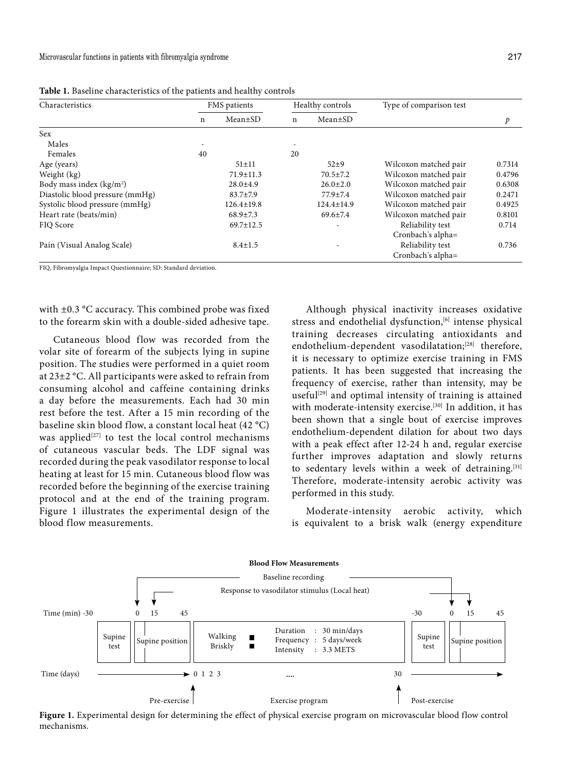| Characteristics                 | FMS patients |                  | Healthy controls |                | Type of comparison test |        |
|---------------------------------|--------------|------------------|------------------|----------------|-------------------------|--------|
|                                 | n            | $Mean \pm SD$    | n                | $Mean \pm SD$  |                         | p      |
| Sex                             |              |                  |                  |                |                         |        |
| Males                           | ۰            |                  |                  |                |                         |        |
| Females                         | 40           |                  | 20               |                |                         |        |
| Age (years)                     |              | $51 \pm 11$      |                  | $52\pm9$       | Wilcoxon matched pair   | 0.7314 |
| Weight (kg)                     |              | $71.9 \pm 11.3$  |                  | $70.5 \pm 7.2$ | Wilcoxon matched pair   | 0.4796 |
| Body mass index $(kg/m2)$       |              | $28.0 \pm 4.9$   |                  | $26.0 \pm 2.0$ | Wilcoxon matched pair   | 0.6308 |
| Diastolic blood pressure (mmHg) |              | $83.7 \pm 7.9$   |                  | $77.9 \pm 7.4$ | Wilcoxon matched pair   | 0.2471 |
| Systolic blood pressure (mmHg)  |              | $126.4 \pm 19.8$ |                  | 124.4±14.9     | Wilcoxon matched pair   | 0.4925 |
| Heart rate (beats/min)          |              | $68.9 \pm 7.3$   |                  | $69.6 \pm 7.4$ | Wilcoxon matched pair   | 0.8101 |
| FIO Score                       |              | $69.7 \pm 12.5$  |                  | ٠              | Reliability test        | 0.714  |
|                                 |              |                  |                  |                | Cronbach's alpha=       |        |
| Pain (Visual Analog Scale)      |              | $8.4 \pm 1.5$    |                  |                | Reliability test        | 0.736  |
|                                 |              |                  |                  |                | Cronbach's alpha=       |        |

**Table 1.** Baseline characteristics of the patients and healthy controls

FIQ, Fibromyalgia Impact Questionnaire; SD: Standard deviation.

with ±0.3 °C accuracy. This combined probe was fixed to the forearm skin with a double-sided adhesive tape.

Cutaneous blood flow was recorded from the volar site of forearm of the subjects lying in supine position. The studies were performed in a quiet room at 23±2 °C. All participants were asked to refrain from consuming alcohol and caffeine containing drinks a day before the measurements. Each had 30 min rest before the test. After a 15 min recording of the baseline skin blood flow, a constant local heat (42 °C) was applied<sup>[27]</sup> to test the local control mechanisms of cutaneous vascular beds. The LDF signal was recorded during the peak vasodilator response to local heating at least for 15 min. Cutaneous blood flow was recorded before the beginning of the exercise training protocol and at the end of the training program. Figure 1 illustrates the experimental design of the blood flow measurements.

Although physical inactivity increases oxidative stress and endothelial dysfunction,<sup>[6]</sup> intense physical training decreases circulating antioxidants and endothelium-dependent vasodilatation;<sup>[28]</sup> therefore, it is necessary to optimize exercise training in FMS patients. It has been suggested that increasing the frequency of exercise, rather than intensity, may be useful<sup>[29]</sup> and optimal intensity of training is attained with moderate-intensity exercise.<sup>[30]</sup> In addition, it has been shown that a single bout of exercise improves endothelium-dependent dilation for about two days with a peak effect after 12-24 h and, regular exercise further improves adaptation and slowly returns to sedentary levels within a week of detraining.<sup>[31]</sup> Therefore, moderate-intensity aerobic activity was performed in this study.

Moderate-intensity aerobic activity, which is equivalent to a brisk walk (energy expenditure



**Figure 1.** Experimental design for determining the effect of physical exercise program on microvascular blood flow control mechanisms.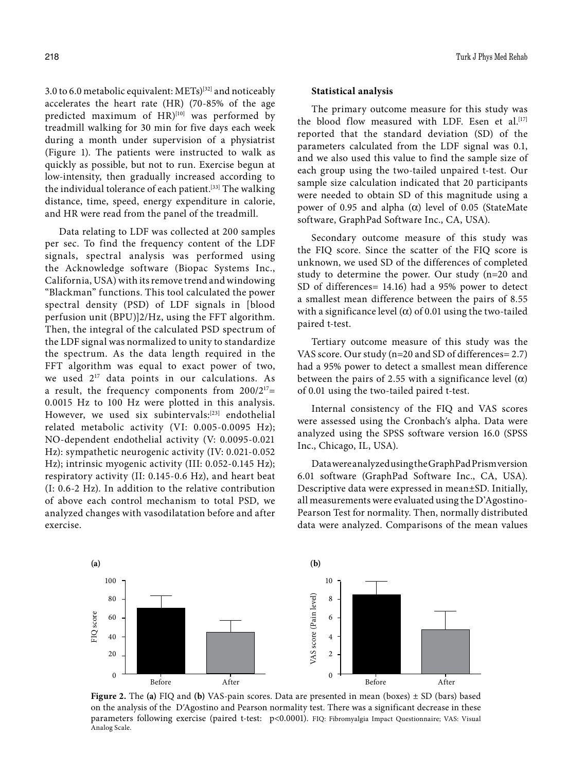3.0 to 6.0 metabolic equivalent:  $METs)^{[32]}$  and noticeably accelerates the heart rate (HR) (70-85% of the age predicted maximum of  $HR$ <sup>[10]</sup> was performed by treadmill walking for 30 min for five days each week during a month under supervision of a physiatrist (Figure 1). The patients were instructed to walk as quickly as possible, but not to run. Exercise begun at low-intensity, then gradually increased according to the individual tolerance of each patient.<sup>[33]</sup> The walking distance, time, speed, energy expenditure in calorie, and HR were read from the panel of the treadmill.

Data relating to LDF was collected at 200 samples per sec. To find the frequency content of the LDF signals, spectral analysis was performed using the Acknowledge software (Biopac Systems Inc., California, USA) with its remove trend and windowing "Blackman" functions. This tool calculated the power spectral density (PSD) of LDF signals in [blood perfusion unit (BPU)]2/Hz, using the FFT algorithm. Then, the integral of the calculated PSD spectrum of the LDF signal was normalized to unity to standardize the spectrum. As the data length required in the FFT algorithm was equal to exact power of two, we used  $2^{17}$  data points in our calculations. As a result, the frequency components from  $200/2^{17}$ = 0.0015 Hz to 100 Hz were plotted in this analysis. However, we used six subintervals:<sup>[23]</sup> endothelial related metabolic activity (VI: 0.005-0.0095 Hz); NO-dependent endothelial activity (V: 0.0095-0.021 Hz): sympathetic neurogenic activity (IV: 0.021-0.052 Hz); intrinsic myogenic activity (III: 0.052-0.145 Hz); respiratory activity (II: 0.145-0.6 Hz), and heart beat (I: 0.6-2 Hz). In addition to the relative contribution of above each control mechanism to total PSD, we analyzed changes with vasodilatation before and after exercise.

#### **Statistical analysis**

The primary outcome measure for this study was the blood flow measured with LDF. Esen et al.<sup>[17]</sup> reported that the standard deviation (SD) of the parameters calculated from the LDF signal was 0.1, and we also used this value to find the sample size of each group using the two-tailed unpaired t-test. Our sample size calculation indicated that 20 participants were needed to obtain SD of this magnitude using a power of 0.95 and alpha  $(\alpha)$  level of 0.05 (StateMate software, GraphPad Software Inc., CA, USA).

Secondary outcome measure of this study was the FIQ score. Since the scatter of the FIQ score is unknown, we used SD of the differences of completed study to determine the power. Our study (n=20 and SD of differences= 14.16) had a 95% power to detect a smallest mean difference between the pairs of 8.55 with a significance level ( $\alpha$ ) of 0.01 using the two-tailed paired t-test.

Tertiary outcome measure of this study was the VAS score. Our study (n=20 and SD of differences= 2.7) had a 95% power to detect a smallest mean difference between the pairs of 2.55 with a significance level  $(\alpha)$ of 0.01 using the two-tailed paired t-test.

Internal consistency of the FIQ and VAS scores were assessed using the Cronbachʹs alpha. Data were analyzed using the SPSS software version 16.0 (SPSS Inc., Chicago, IL, USA).

Data were analyzed using the GraphPad Prism version 6.01 software (GraphPad Software Inc., CA, USA). Descriptive data were expressed in mean±SD. Initially, all measurements were evaluated using the D'Agostino-Pearson Test for normality. Then, normally distributed data were analyzed. Comparisons of the mean values



**Figure 2.** The **(a)** FIQ and **(b)** VAS-pain scores. Data are presented in mean (boxes) ± SD (bars) based on the analysis of the DʹAgostino and Pearson normality test. There was a significant decrease in these parameters following exercise (paired t-test: p<0.0001). FIQ: Fibromyalgia Impact Questionnaire; VAS: Visual Analog Scale.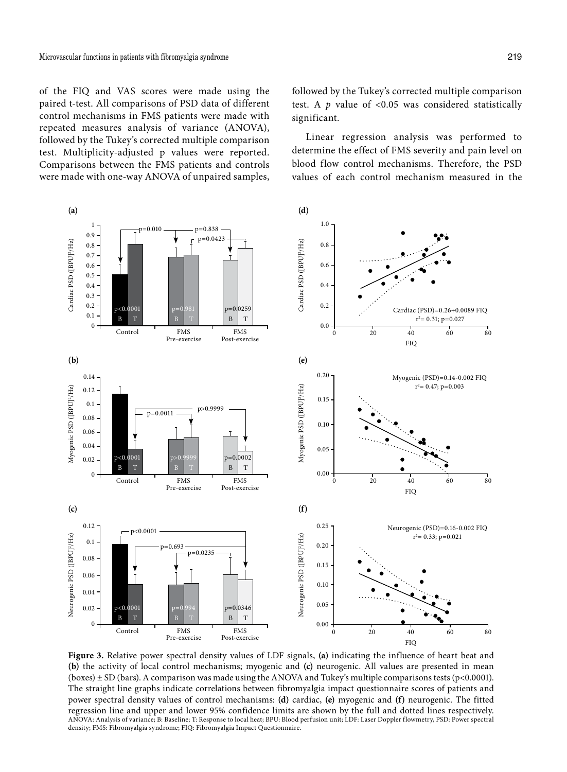of the FIQ and VAS scores were made using the paired t-test. All comparisons of PSD data of different control mechanisms in FMS patients were made with repeated measures analysis of variance (ANOVA), followed by the Tukey's corrected multiple comparison test. Multiplicity-adjusted p values were reported. Comparisons between the FMS patients and controls were made with one-way ANOVA of unpaired samples, followed by the Tukey's corrected multiple comparison test. A  $p$  value of <0.05 was considered statistically significant.

Linear regression analysis was performed to determine the effect of FMS severity and pain level on blood flow control mechanisms. Therefore, the PSD values of each control mechanism measured in the



**Figure 3.** Relative power spectral density values of LDF signals, **(a)** indicating the influence of heart beat and **(b)** the activity of local control mechanisms; myogenic and **(c)** neurogenic. All values are presented in mean (boxes)  $\pm$  SD (bars). A comparison was made using the ANOVA and Tukey's multiple comparisons tests (p<0.0001). The straight line graphs indicate correlations between fibromyalgia impact questionnaire scores of patients and power spectral density values of control mechanisms: **(d)** cardiac, **(e)** myogenic and **(f)** neurogenic. The fitted regression line and upper and lower 95% confidence limits are shown by the full and dotted lines respectively. ANOVA: Analysis of variance; B: Baseline; T: Response to local heat; BPU: Blood perfusion unit; LDF: Laser Doppler flowmetry, PSD: Power spectral density; FMS: Fibromyalgia syndrome; FIQ: Fibromyalgia Impact Questionnaire.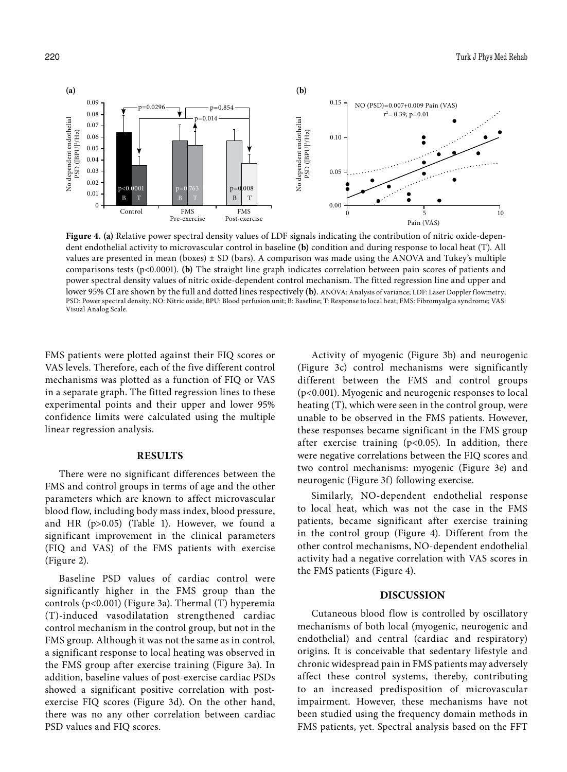

**Figure 4. (a)** Relative power spectral density values of LDF signals indicating the contribution of nitric oxide-dependent endothelial activity to microvascular control in baseline **(b)** condition and during response to local heat (T). All values are presented in mean (boxes)  $\pm$  SD (bars). A comparison was made using the ANOVA and Tukey's multiple comparisons tests (p<0.0001). **(b)** The straight line graph indicates correlation between pain scores of patients and power spectral density values of nitric oxide-dependent control mechanism. The fitted regression line and upper and lower 95% CI are shown by the full and dotted lines respectively **(b)**. ANOVA: Analysis of variance; LDF: Laser Doppler flowmetry; PSD: Power spectral density; NO: Nitric oxide; BPU: Blood perfusion unit; B: Baseline; T: Response to local heat; FMS: Fibromyalgia syndrome; VAS: Visual Analog Scale.

FMS patients were plotted against their FIQ scores or VAS levels. Therefore, each of the five different control mechanisms was plotted as a function of FIQ or VAS in a separate graph. The fitted regression lines to these experimental points and their upper and lower 95% confidence limits were calculated using the multiple linear regression analysis.

#### **RESULTS**

There were no significant differences between the FMS and control groups in terms of age and the other parameters which are known to affect microvascular blood flow, including body mass index, blood pressure, and HR (p>0.05) (Table 1). However, we found a significant improvement in the clinical parameters (FIQ and VAS) of the FMS patients with exercise (Figure 2).

Baseline PSD values of cardiac control were significantly higher in the FMS group than the controls (p<0.001) (Figure 3a). Thermal (T) hyperemia (T)-induced vasodilatation strengthened cardiac control mechanism in the control group, but not in the FMS group. Although it was not the same as in control, a significant response to local heating was observed in the FMS group after exercise training (Figure 3a). In addition, baseline values of post-exercise cardiac PSDs showed a significant positive correlation with postexercise FIQ scores (Figure 3d). On the other hand, there was no any other correlation between cardiac PSD values and FIQ scores.

Activity of myogenic (Figure 3b) and neurogenic (Figure 3c) control mechanisms were significantly different between the FMS and control groups (p<0.001). Myogenic and neurogenic responses to local heating (T), which were seen in the control group, were unable to be observed in the FMS patients. However, these responses became significant in the FMS group after exercise training (p<0.05). In addition, there were negative correlations between the FIQ scores and two control mechanisms: myogenic (Figure 3e) and neurogenic (Figure 3f) following exercise.

Similarly, NO-dependent endothelial response to local heat, which was not the case in the FMS patients, became significant after exercise training in the control group (Figure 4). Different from the other control mechanisms, NO-dependent endothelial activity had a negative correlation with VAS scores in the FMS patients (Figure 4).

#### **DISCUSSION**

Cutaneous blood flow is controlled by oscillatory mechanisms of both local (myogenic, neurogenic and endothelial) and central (cardiac and respiratory) origins. It is conceivable that sedentary lifestyle and chronic widespread pain in FMS patients may adversely affect these control systems, thereby, contributing to an increased predisposition of microvascular impairment. However, these mechanisms have not been studied using the frequency domain methods in FMS patients, yet. Spectral analysis based on the FFT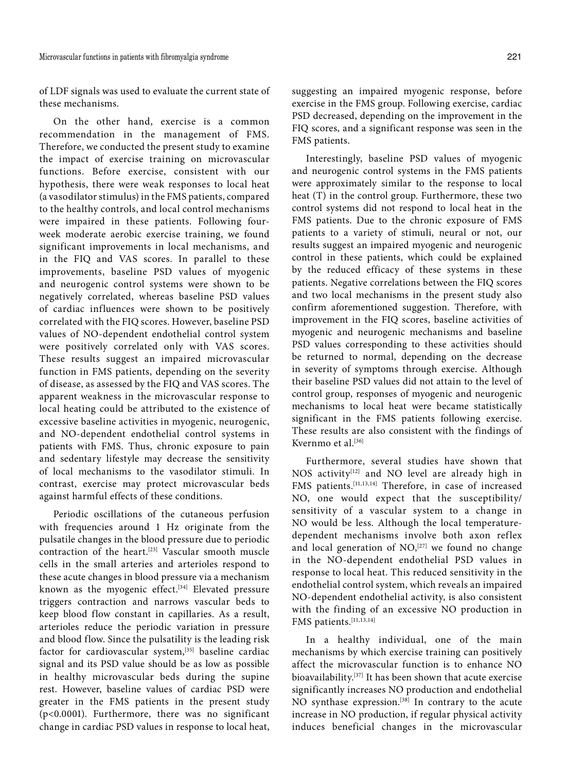of LDF signals was used to evaluate the current state of these mechanisms.

On the other hand, exercise is a common recommendation in the management of FMS. Therefore, we conducted the present study to examine the impact of exercise training on microvascular functions. Before exercise, consistent with our hypothesis, there were weak responses to local heat (a vasodilator stimulus) in the FMS patients, compared to the healthy controls, and local control mechanisms were impaired in these patients. Following fourweek moderate aerobic exercise training, we found significant improvements in local mechanisms, and in the FIQ and VAS scores. In parallel to these improvements, baseline PSD values of myogenic and neurogenic control systems were shown to be negatively correlated, whereas baseline PSD values of cardiac influences were shown to be positively correlated with the FIQ scores. However, baseline PSD values of NO-dependent endothelial control system were positively correlated only with VAS scores. These results suggest an impaired microvascular function in FMS patients, depending on the severity of disease, as assessed by the FIQ and VAS scores. The apparent weakness in the microvascular response to local heating could be attributed to the existence of excessive baseline activities in myogenic, neurogenic, and NO-dependent endothelial control systems in patients with FMS. Thus, chronic exposure to pain and sedentary lifestyle may decrease the sensitivity of local mechanisms to the vasodilator stimuli. In contrast, exercise may protect microvascular beds against harmful effects of these conditions.

Periodic oscillations of the cutaneous perfusion with frequencies around 1 Hz originate from the pulsatile changes in the blood pressure due to periodic contraction of the heart.[23] Vascular smooth muscle cells in the small arteries and arterioles respond to these acute changes in blood pressure via a mechanism known as the myogenic effect.<sup>[34]</sup> Elevated pressure triggers contraction and narrows vascular beds to keep blood flow constant in capillaries. As a result, arterioles reduce the periodic variation in pressure and blood flow. Since the pulsatility is the leading risk factor for cardiovascular system,<sup>[35]</sup> baseline cardiac signal and its PSD value should be as low as possible in healthy microvascular beds during the supine rest. However, baseline values of cardiac PSD were greater in the FMS patients in the present study (p<0.0001). Furthermore, there was no significant change in cardiac PSD values in response to local heat,

suggesting an impaired myogenic response, before exercise in the FMS group. Following exercise, cardiac PSD decreased, depending on the improvement in the FIQ scores, and a significant response was seen in the FMS patients.

Interestingly, baseline PSD values of myogenic and neurogenic control systems in the FMS patients were approximately similar to the response to local heat (T) in the control group. Furthermore, these two control systems did not respond to local heat in the FMS patients. Due to the chronic exposure of FMS patients to a variety of stimuli, neural or not, our results suggest an impaired myogenic and neurogenic control in these patients, which could be explained by the reduced efficacy of these systems in these patients. Negative correlations between the FIQ scores and two local mechanisms in the present study also confirm aforementioned suggestion. Therefore, with improvement in the FIQ scores, baseline activities of myogenic and neurogenic mechanisms and baseline PSD values corresponding to these activities should be returned to normal, depending on the decrease in severity of symptoms through exercise. Although their baseline PSD values did not attain to the level of control group, responses of myogenic and neurogenic mechanisms to local heat were became statistically significant in the FMS patients following exercise. These results are also consistent with the findings of Kvernmo et al.[36]

Furthermore, several studies have shown that NOS activity<sup>[12]</sup> and NO level are already high in FMS patients.<sup>[11,13,14]</sup> Therefore, in case of increased NO, one would expect that the susceptibility/ sensitivity of a vascular system to a change in NO would be less. Although the local temperaturedependent mechanisms involve both axon reflex and local generation of  $NO<sub>2</sub><sup>[27]</sup>$  we found no change in the NO-dependent endothelial PSD values in response to local heat. This reduced sensitivity in the endothelial control system, which reveals an impaired NO-dependent endothelial activity, is also consistent with the finding of an excessive NO production in FMS patients.[11,13,14]

In a healthy individual, one of the main mechanisms by which exercise training can positively affect the microvascular function is to enhance NO bioavailability.[37] It has been shown that acute exercise significantly increases NO production and endothelial NO synthase expression.[38] In contrary to the acute increase in NO production, if regular physical activity induces beneficial changes in the microvascular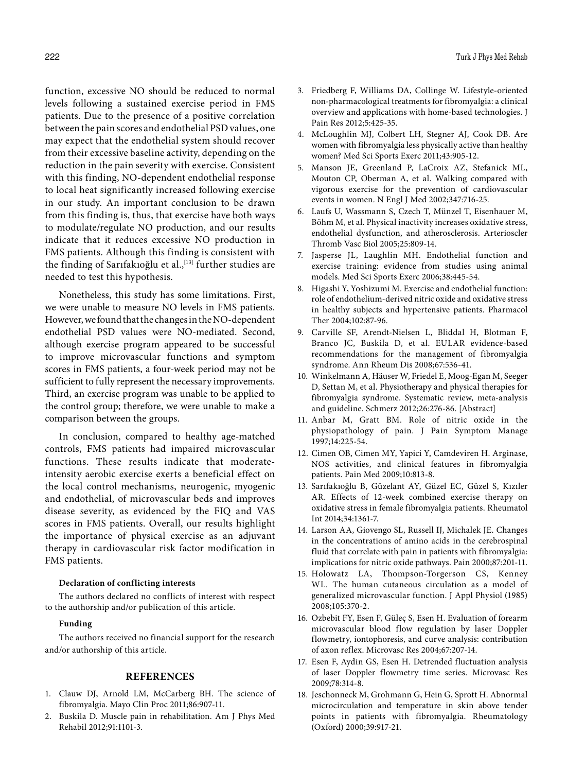function, excessive NO should be reduced to normal levels following a sustained exercise period in FMS patients. Due to the presence of a positive correlation between the pain scores and endothelial PSD values, one may expect that the endothelial system should recover from their excessive baseline activity, depending on the reduction in the pain severity with exercise. Consistent with this finding, NO-dependent endothelial response to local heat significantly increased following exercise in our study. An important conclusion to be drawn from this finding is, thus, that exercise have both ways to modulate/regulate NO production, and our results indicate that it reduces excessive NO production in FMS patients. Although this finding is consistent with the finding of Sarıfakıoğlu et al., [13] further studies are needed to test this hypothesis.

Nonetheless, this study has some limitations. First, we were unable to measure NO levels in FMS patients. However, we found that the changes in the NO-dependent endothelial PSD values were NO-mediated. Second, although exercise program appeared to be successful to improve microvascular functions and symptom scores in FMS patients, a four-week period may not be sufficient to fully represent the necessary improvements. Third, an exercise program was unable to be applied to the control group; therefore, we were unable to make a comparison between the groups.

In conclusion, compared to healthy age-matched controls, FMS patients had impaired microvascular functions. These results indicate that moderateintensity aerobic exercise exerts a beneficial effect on the local control mechanisms, neurogenic, myogenic and endothelial, of microvascular beds and improves disease severity, as evidenced by the FIQ and VAS scores in FMS patients. Overall, our results highlight the importance of physical exercise as an adjuvant therapy in cardiovascular risk factor modification in FMS patients.

#### **Declaration of conflicting interests**

The authors declared no conflicts of interest with respect to the authorship and/or publication of this article.

#### **Funding**

The authors received no financial support for the research and/or authorship of this article.

# **REFERENCES**

- 1. Clauw DJ, Arnold LM, McCarberg BH. The science of fibromyalgia. Mayo Clin Proc 2011;86:907-11.
- 2. Buskila D. Muscle pain in rehabilitation. Am J Phys Med Rehabil 2012;91:1101-3.
- 3. Friedberg F, Williams DA, Collinge W. Lifestyle-oriented non-pharmacological treatments for fibromyalgia: a clinical overview and applications with home-based technologies. J Pain Res 2012;5:425-35.
- 4. McLoughlin MJ, Colbert LH, Stegner AJ, Cook DB. Are women with fibromyalgia less physically active than healthy women? Med Sci Sports Exerc 2011;43:905-12.
- 5. Manson JE, Greenland P, LaCroix AZ, Stefanick ML, Mouton CP, Oberman A, et al. Walking compared with vigorous exercise for the prevention of cardiovascular events in women. N Engl J Med 2002;347:716-25.
- 6. Laufs U, Wassmann S, Czech T, Münzel T, Eisenhauer M, Böhm M, et al. Physical inactivity increases oxidative stress, endothelial dysfunction, and atherosclerosis. Arterioscler Thromb Vasc Biol 2005;25:809-14.
- 7. Jasperse JL, Laughlin MH. Endothelial function and exercise training: evidence from studies using animal models. Med Sci Sports Exerc 2006;38:445-54.
- 8. Higashi Y, Yoshizumi M. Exercise and endothelial function: role of endothelium-derived nitric oxide and oxidative stress in healthy subjects and hypertensive patients. Pharmacol Ther 2004;102:87-96.
- 9. Carville SF, Arendt-Nielsen L, Bliddal H, Blotman F, Branco JC, Buskila D, et al. EULAR evidence-based recommendations for the management of fibromyalgia syndrome. Ann Rheum Dis 2008;67:536-41.
- 10. Winkelmann A, Häuser W, Friedel E, Moog-Egan M, Seeger D, Settan M, et al. Physiotherapy and physical therapies for fibromyalgia syndrome. Systematic review, meta-analysis and guideline. Schmerz 2012;26:276-86. [Abstract]
- 11. Anbar M, Gratt BM. Role of nitric oxide in the physiopathology of pain. J Pain Symptom Manage 1997;14:225-54.
- 12. Cimen OB, Cimen MY, Yapici Y, Camdeviren H. Arginase, NOS activities, and clinical features in fibromyalgia patients. Pain Med 2009;10:813-8.
- 13. Sarıfakıoğlu B, Güzelant AY, Güzel EC, Güzel S, Kızıler AR. Effects of 12-week combined exercise therapy on oxidative stress in female fibromyalgia patients. Rheumatol Int 2014;34:1361-7.
- 14. Larson AA, Giovengo SL, Russell IJ, Michalek JE. Changes in the concentrations of amino acids in the cerebrospinal fluid that correlate with pain in patients with fibromyalgia: implications for nitric oxide pathways. Pain 2000;87:201-11.
- 15. Holowatz LA, Thompson-Torgerson CS, Kenney WL. The human cutaneous circulation as a model of generalized microvascular function. J Appl Physiol (1985) 2008;105:370-2.
- 16. Ozbebit FY, Esen F, Güleç S, Esen H. Evaluation of forearm microvascular blood flow regulation by laser Doppler flowmetry, iontophoresis, and curve analysis: contribution of axon reflex. Microvasc Res 2004;67:207-14.
- 17. Esen F, Aydin GS, Esen H. Detrended fluctuation analysis of laser Doppler flowmetry time series. Microvasc Res 2009;78:314-8.
- 18. Jeschonneck M, Grohmann G, Hein G, Sprott H. Abnormal microcirculation and temperature in skin above tender points in patients with fibromyalgia. Rheumatology (Oxford) 2000;39:917-21.